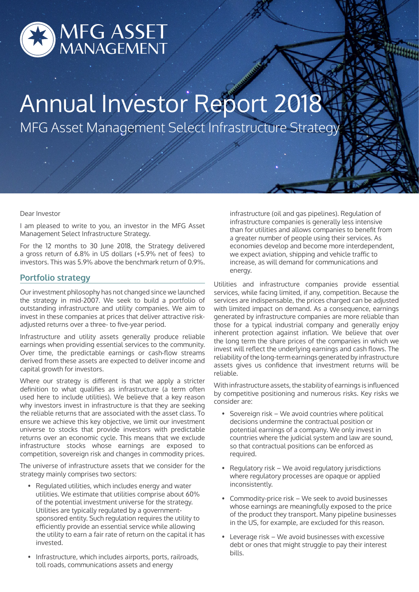

# Annual Investor Report 2018 MFG Asset Management Select Infrastructure Strategy

## Dear Investor

I am pleased to write to you, an investor in the MFG Asset Management Select Infrastructure Strategy.

For the 12 months to 30 June 2018, the Strategy delivered a gross return of 6.8% in US dollars (+5.9% net of fees) to investors. This was 5.9% above the benchmark return of 0.9%.

## **Portfolio strategy**

Our investment philosophy has not changed since we launched the strategy in mid-2007. We seek to build a portfolio of outstanding infrastructure and utility companies. We aim to invest in these companies at prices that deliver attractive riskadjusted returns over a three- to five-year period.

Infrastructure and utility assets generally produce reliable earnings when providing essential services to the community. Over time, the predictable earnings or cash-flow streams derived from these assets are expected to deliver income and capital growth for investors.

Where our strategy is different is that we apply a stricter definition to what qualifies as infrastructure (a term often used here to include utilities). We believe that a key reason why investors invest in infrastructure is that they are seeking the reliable returns that are associated with the asset class. To ensure we achieve this key objective, we limit our investment universe to stocks that provide investors with predictable returns over an economic cycle. This means that we exclude infrastructure stocks whose earnings are exposed to competition, sovereign risk and changes in commodity prices.

The universe of infrastructure assets that we consider for the strategy mainly comprises two sectors:

- Regulated utilities, which includes energy and water utilities. We estimate that utilities comprise about 60% of the potential investment universe for the strategy. Utilities are typically regulated by a governmentsponsored entity. Such regulation requires the utility to efficiently provide an essential service while allowing the utility to earn a fair rate of return on the capital it has invested.
- Infrastructure, which includes airports, ports, railroads, toll roads, communications assets and energy

infrastructure (oil and gas pipelines). Regulation of infrastructure companies is generally less intensive than for utilities and allows companies to benefit from a greater number of people using their services. As economies develop and become more interdependent, we expect aviation, shipping and vehicle traffic to increase, as will demand for communications and energy.

Utilities and infrastructure companies provide essential services, while facing limited, if any, competition. Because the services are indispensable, the prices charged can be adjusted with limited impact on demand. As a consequence, earnings generated by infrastructure companies are more reliable than those for a typical industrial company and generally enjoy inherent protection against inflation. We believe that over the long term the share prices of the companies in which we invest will reflect the underlying earnings and cash flows. The reliability of the long-term earnings generated by infrastructure assets gives us confidence that investment returns will be reliable.

With infrastructure assets, the stability of earnings is influenced by competitive positioning and numerous risks. Key risks we consider are:

- Sovereign risk We avoid countries where political decisions undermine the contractual position or potential earnings of a company. We only invest in countries where the judicial system and law are sound, so that contractual positions can be enforced as required.
- Regulatory risk We avoid regulatory jurisdictions where regulatory processes are opaque or applied inconsistently.
- Commodity-price risk We seek to avoid businesses whose earnings are meaningfully exposed to the price of the product they transport. Many pipeline businesses in the US, for example, are excluded for this reason.
- Leverage risk We avoid businesses with excessive debt or ones that might struggle to pay their interest bills.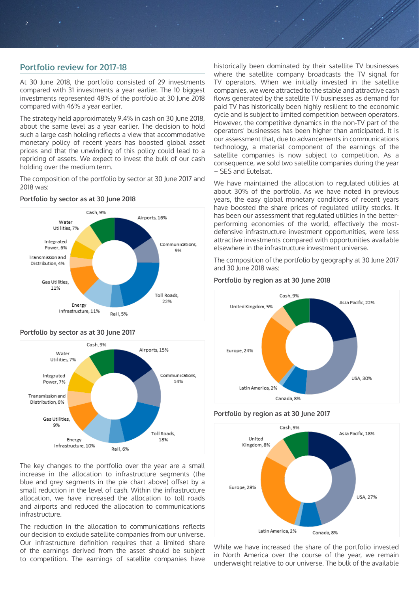# **Portfolio review for 2017-18**

At 30 June 2018, the portfolio consisted of 29 investments compared with 31 investments a year earlier. The 10 biggest investments represented 48% of the portfolio at 30 June 2018 compared with 46% a year earlier.

The strategy held approximately 9.4% in cash on 30 June 2018, about the same level as a year earlier. The decision to hold such a large cash holding reflects a view that accommodative monetary policy of recent years has boosted global asset prices and that the unwinding of this policy could lead to a repricing of assets. We expect to invest the bulk of our cash holding over the medium term.

The composition of the portfolio by sector at 30 June 2017 and 2018 was:



## **Portfolio by sector as at 30 June 2018**



#### The key changes to the portfolio over the year are a small increase in the allocation to infrastructure segments (the blue and grey segments in the pie chart above) offset by a small reduction in the level of cash. Within the infrastructure allocation, we have increased the allocation to toll roads and airports and reduced the allocation to communications infrastructure.

The reduction in the allocation to communications reflects our decision to exclude satellite companies from our universe. Our infrastructure definition requires that a limited share of the earnings derived from the asset should be subject to competition. The earnings of satellite companies have

historically been dominated by their satellite TV businesses where the satellite company broadcasts the TV signal for TV operators. When we initially invested in the satellite companies, we were attracted to the stable and attractive cash flows generated by the satellite TV businesses as demand for paid TV has historically been highly resilient to the economic cycle and is subject to limited competition between operators. However, the competitive dynamics in the non-TV part of the operators' businesses has been higher than anticipated. It is our assessment that, due to advancements in communications technology, a material component of the earnings of the satellite companies is now subject to competition. As a consequence, we sold two satellite companies during the year – SES and Eutelsat.

We have maintained the allocation to regulated utilities at about 30% of the portfolio. As we have noted in previous years, the easy global monetary conditions of recent years have boosted the share prices of regulated utility stocks. It has been our assessment that regulated utilities in the betterperforming economies of the world, effectively the mostdefensive infrastructure investment opportunities, were less attractive investments compared with opportunities available elsewhere in the infrastructure investment universe.

The composition of the portfolio by geography at 30 June 2017 and 30 June 2018 was:



## **Portfolio by region as at 30 June 2018**

#### **Portfolio by region as at 30 June 2017**



While we have increased the share of the portfolio invested in North America over the course of the year, we remain underweight relative to our universe. The bulk of the available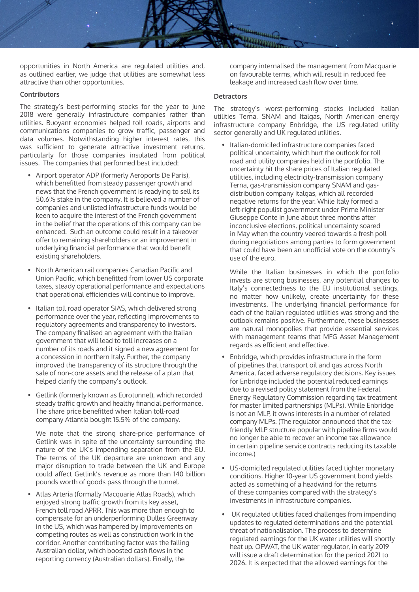

opportunities in North America are regulated utilities and, as outlined earlier, we judge that utilities are somewhat less attractive than other opportunities.

#### **Contributors**

The strategy's best-performing stocks for the year to June 2018 were generally infrastructure companies rather than utilities. Buoyant economies helped toll roads, airports and communications companies to grow traffic, passenger and data volumes. Notwithstanding higher interest rates, this was sufficient to generate attractive investment returns, particularly for those companies insulated from political issues. The companies that performed best included:

- Airport operator ADP (formerly Aeroports De Paris), which benefitted from steady passenger growth and news that the French government is readying to sell its 50.6% stake in the company. It is believed a number of companies and unlisted infrastructure funds would be keen to acquire the interest of the French government in the belief that the operations of this company can be enhanced. Such an outcome could result in a takeover offer to remaining shareholders or an improvement in underlying financial performance that would benefit existing shareholders.
- North American rail companies Canadian Pacific and Union Pacific, which benefitted from lower US corporate taxes, steady operational performance and expectations that operational efficiencies will continue to improve.
- Italian toll road operator SIAS, which delivered strong performance over the year, reflecting improvements to regulatory agreements and transparency to investors. The company finalised an agreement with the Italian government that will lead to toll increases on a number of its roads and it signed a new agreement for a concession in northern Italy. Further, the company improved the transparency of its structure through the sale of non-core assets and the release of a plan that helped clarify the company's outlook.
- Getlink (formerly known as Eurotunnel), which recorded steady traffic growth and healthy financial performance. The share price benefitted when Italian toll-road company Atlantia bought 15.5% of the company.

We note that the strong share-price performance of Getlink was in spite of the uncertainty surrounding the nature of the UK's impending separation from the EU. The terms of the UK departure are unknown and any major disruption to trade between the UK and Europe could affect Getlink's revenue as more than 140 billion pounds worth of goods pass through the tunnel.

• Atlas Arteria (formally Macquarie Atlas Roads), which enjoyed strong traffic growth from its key asset, French toll road APRR. This was more than enough to compensate for an underperforming Dulles Greenway in the US, which was hampered by improvements on competing routes as well as construction work in the corridor. Another contributing factor was the falling Australian dollar, which boosted cash flows in the reporting currency (Australian dollars). Finally, the

company internalised the management from Macquarie on favourable terms, which will result in reduced fee leakage and increased cash flow over time.

#### **Detractors**

The strategy's worst-performing stocks included Italian utilities Terna, SNAM and Italgas, North American energy infrastructure company Enbridge, the US regulated utility sector generally and UK regulated utilities.

• Italian-domiciled infrastructure companies faced political uncertainty, which hurt the outlook for toll road and utility companies held in the portfolio. The uncertainty hit the share prices of Italian regulated utilities, including electricity-transmission company Terna, gas-transmission company SNAM and gasdistribution company Italgas, which all recorded negative returns for the year. While Italy formed a left-right populist government under Prime Minister Giuseppe Conte in June about three months after inconclusive elections, political uncertainty soared in May when the country veered towards a fresh poll during negotiations among parties to form government that could have been an unofficial vote on the country's use of the euro.

While the Italian businesses in which the portfolio invests are strong businesses, any potential changes to Italy's connectedness to the EU institutional settings, no matter how unlikely, create uncertainty for these investments. The underlying financial performance for each of the Italian regulated utilities was strong and the outlook remains positive. Furthermore, these businesses are natural monopolies that provide essential services with management teams that MFG Asset Management regards as efficient and effective.

- Enbridge, which provides infrastructure in the form of pipelines that transport oil and gas across North America, faced adverse regulatory decisions. Key issues for Enbridge included the potential reduced earnings due to a revised policy statement from the Federal Energy Regulatory Commission regarding tax treatment for master limited partnerships (MLPs). While Enbridge is not an MLP, it owns interests in a number of related company MLPs. (The regulator announced that the taxfriendly MLP structure popular with pipeline firms would no longer be able to recover an income tax allowance in certain pipeline service contracts reducing its taxable income.)
- US-domiciled regulated utilities faced tighter monetary conditions. Higher 10-year US government bond yields acted as something of a headwind for the returns of these companies compared with the strategy's investments in infrastructure companies.
- UK regulated utilities faced challenges from impending updates to regulated determinations and the potential threat of nationalisation. The process to determine regulated earnings for the UK water utilities will shortly heat up. OFWAT, the UK water regulator, in early 2019 will issue a draft determination for the period 2021 to 2026. It is expected that the allowed earnings for the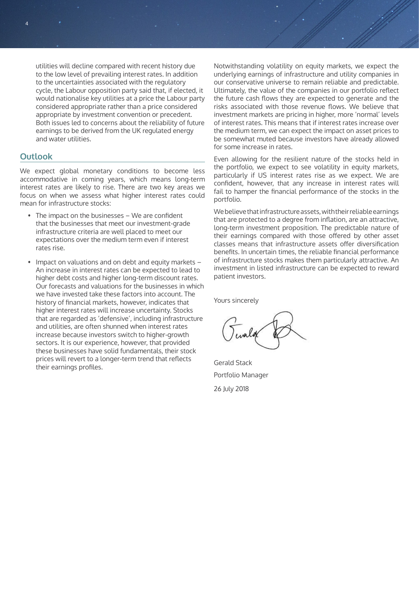utilities will decline compared with recent history due to the low level of prevailing interest rates. In addition to the uncertainties associated with the regulatory cycle, the Labour opposition party said that, if elected, it would nationalise key utilities at a price the Labour party considered appropriate rather than a price considered appropriate by investment convention or precedent. Both issues led to concerns about the reliability of future earnings to be derived from the UK regulated energy and water utilities.

# **Outlook**

4

We expect global monetary conditions to become less accommodative in coming years, which means long-term interest rates are likely to rise. There are two key areas we focus on when we assess what higher interest rates could mean for infrastructure stocks:

- The impact on the businesses We are confident that the businesses that meet our investment-grade infrastructure criteria are well placed to meet our expectations over the medium term even if interest rates rise.
- Impact on valuations and on debt and equity markets An increase in interest rates can be expected to lead to higher debt costs and higher long-term discount rates. Our forecasts and valuations for the businesses in which we have invested take these factors into account. The history of financial markets, however, indicates that higher interest rates will increase uncertainty. Stocks that are regarded as 'defensive', including infrastructure and utilities, are often shunned when interest rates increase because investors switch to higher-growth sectors. It is our experience, however, that provided these businesses have solid fundamentals, their stock prices will revert to a longer-term trend that reflects their earnings profiles.

Notwithstanding volatility on equity markets, we expect the underlying earnings of infrastructure and utility companies in our conservative universe to remain reliable and predictable. Ultimately, the value of the companies in our portfolio reflect the future cash flows they are expected to generate and the risks associated with those revenue flows. We believe that investment markets are pricing in higher, more 'normal' levels of interest rates. This means that if interest rates increase over the medium term, we can expect the impact on asset prices to be somewhat muted because investors have already allowed for some increase in rates.

Even allowing for the resilient nature of the stocks held in the portfolio, we expect to see volatility in equity markets, particularly if US interest rates rise as we expect. We are confident, however, that any increase in interest rates will fail to hamper the financial performance of the stocks in the portfolio.

We believe that infrastructure assets, with their reliable earnings that are protected to a degree from inflation, are an attractive, long-term investment proposition. The predictable nature of their earnings compared with those offered by other asset classes means that infrastructure assets offer diversification benefits. In uncertain times, the reliable financial performance of infrastructure stocks makes them particularly attractive. An investment in listed infrastructure can be expected to reward patient investors.

Yours sincerely

Gerald Stack Portfolio Manager 26 July 2018